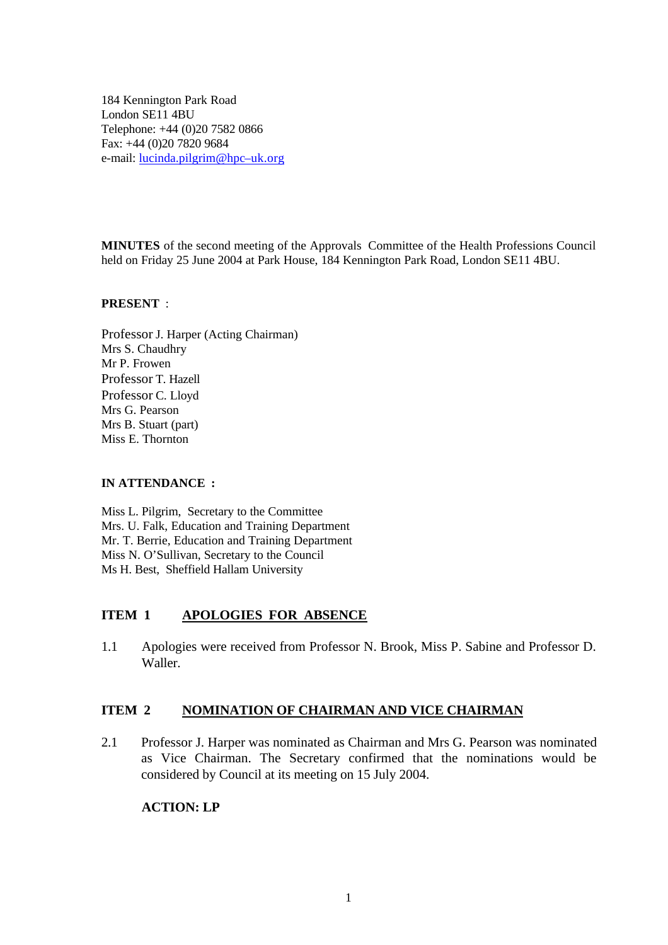184 Kennington Park Road London SE11 4BU Telephone: +44 (0)20 7582 0866 Fax: +44 (0)20 7820 9684 e-mail: lucinda.pilgrim@hpc–uk.org

**MINUTES** of the second meeting of the Approvals Committee of the Health Professions Council held on Friday 25 June 2004 at Park House, 184 Kennington Park Road, London SE11 4BU.

#### **PRESENT** :

Professor J. Harper (Acting Chairman) Mrs S. Chaudhry Mr P. Frowen Professor T. Hazell Professor C. Lloyd Mrs G. Pearson Mrs B. Stuart (part) Miss E. Thornton

#### **IN ATTENDANCE :**

Miss L. Pilgrim, Secretary to the Committee Mrs. U. Falk, Education and Training Department Mr. T. Berrie, Education and Training Department Miss N. O'Sullivan, Secretary to the Council Ms H. Best, Sheffield Hallam University

### **ITEM 1 APOLOGIES FOR ABSENCE**

1.1 Apologies were received from Professor N. Brook, Miss P. Sabine and Professor D. Waller.

#### **ITEM 2 NOMINATION OF CHAIRMAN AND VICE CHAIRMAN**

2.1 Professor J. Harper was nominated as Chairman and Mrs G. Pearson was nominated as Vice Chairman. The Secretary confirmed that the nominations would be considered by Council at its meeting on 15 July 2004.

### **ACTION: LP**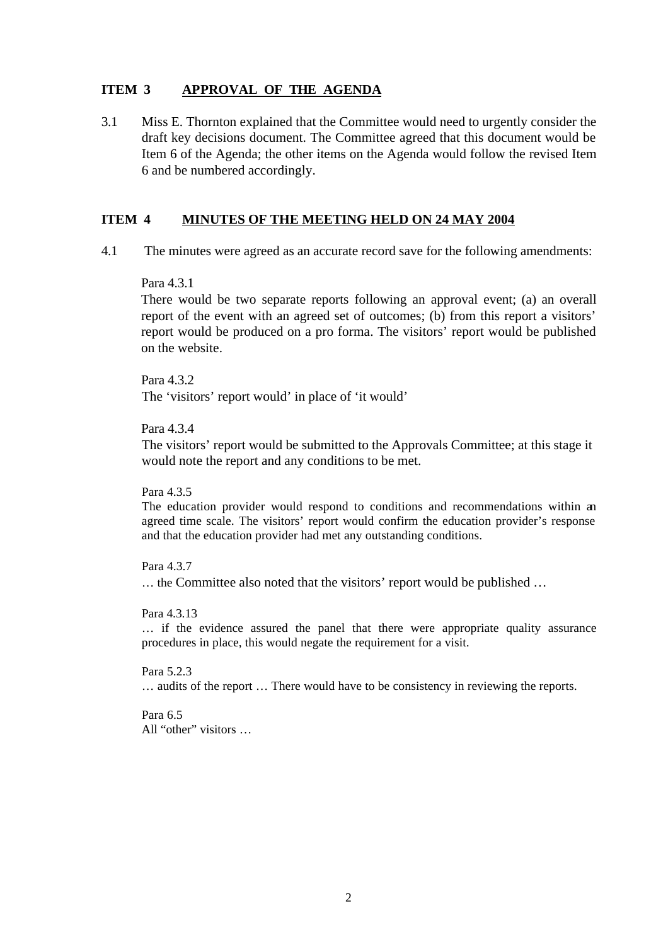### **ITEM 3 APPROVAL OF THE AGENDA**

3.1 Miss E. Thornton explained that the Committee would need to urgently consider the draft key decisions document. The Committee agreed that this document would be Item 6 of the Agenda; the other items on the Agenda would follow the revised Item 6 and be numbered accordingly.

#### **ITEM 4 MINUTES OF THE MEETING HELD ON 24 MAY 2004**

4.1 The minutes were agreed as an accurate record save for the following amendments:

#### Para 4.3.1

There would be two separate reports following an approval event; (a) an overall report of the event with an agreed set of outcomes; (b) from this report a visitors' report would be produced on a pro forma. The visitors' report would be published on the website.

Para 4.3.2 The 'visitors' report would' in place of 'it would'

Para 4.3.4

The visitors' report would be submitted to the Approvals Committee; at this stage it would note the report and any conditions to be met.

Para 4.3.5

The education provider would respond to conditions and recommendations within an agreed time scale. The visitors' report would confirm the education provider's response and that the education provider had met any outstanding conditions.

Para 4.3.7 … the Committee also noted that the visitors' report would be published …

Para 4.3.13

… if the evidence assured the panel that there were appropriate quality assurance procedures in place, this would negate the requirement for a visit.

Para 5.2.3 … audits of the report … There would have to be consistency in reviewing the reports.

Para 6.5 All "other" visitors …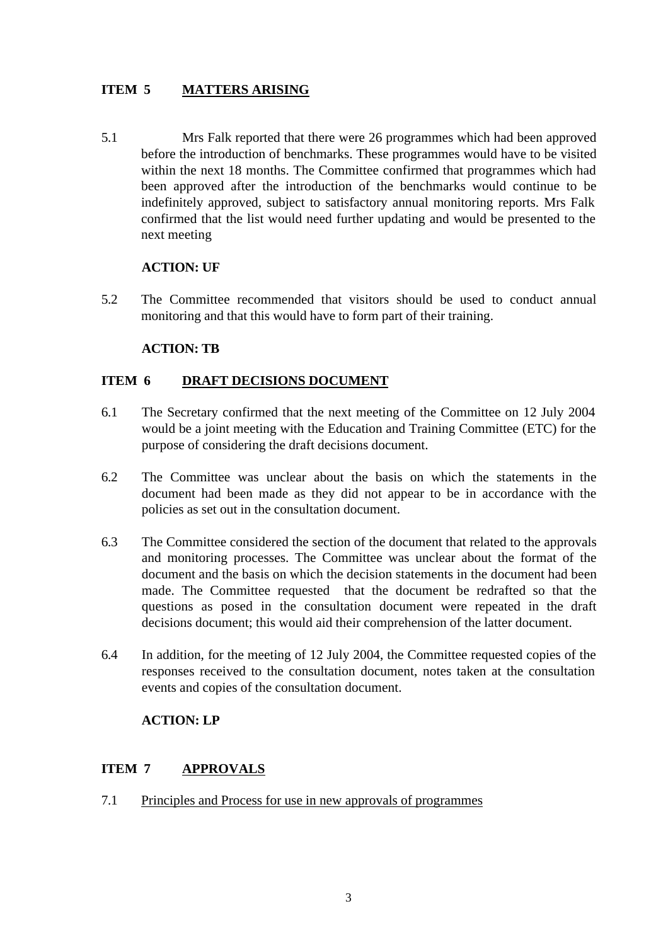## **ITEM 5 MATTERS ARISING**

5.1 Mrs Falk reported that there were 26 programmes which had been approved before the introduction of benchmarks. These programmes would have to be visited within the next 18 months. The Committee confirmed that programmes which had been approved after the introduction of the benchmarks would continue to be indefinitely approved, subject to satisfactory annual monitoring reports. Mrs Falk confirmed that the list would need further updating and would be presented to the next meeting

### **ACTION: UF**

5.2 The Committee recommended that visitors should be used to conduct annual monitoring and that this would have to form part of their training.

#### **ACTION: TB**

#### **ITEM 6 DRAFT DECISIONS DOCUMENT**

- 6.1 The Secretary confirmed that the next meeting of the Committee on 12 July 2004 would be a joint meeting with the Education and Training Committee (ETC) for the purpose of considering the draft decisions document.
- 6.2 The Committee was unclear about the basis on which the statements in the document had been made as they did not appear to be in accordance with the policies as set out in the consultation document.
- 6.3 The Committee considered the section of the document that related to the approvals and monitoring processes. The Committee was unclear about the format of the document and the basis on which the decision statements in the document had been made. The Committee requested that the document be redrafted so that the questions as posed in the consultation document were repeated in the draft decisions document; this would aid their comprehension of the latter document.
- 6.4 In addition, for the meeting of 12 July 2004, the Committee requested copies of the responses received to the consultation document, notes taken at the consultation events and copies of the consultation document.

### **ACTION: LP**

### **ITEM 7 APPROVALS**

7.1 Principles and Process for use in new approvals of programmes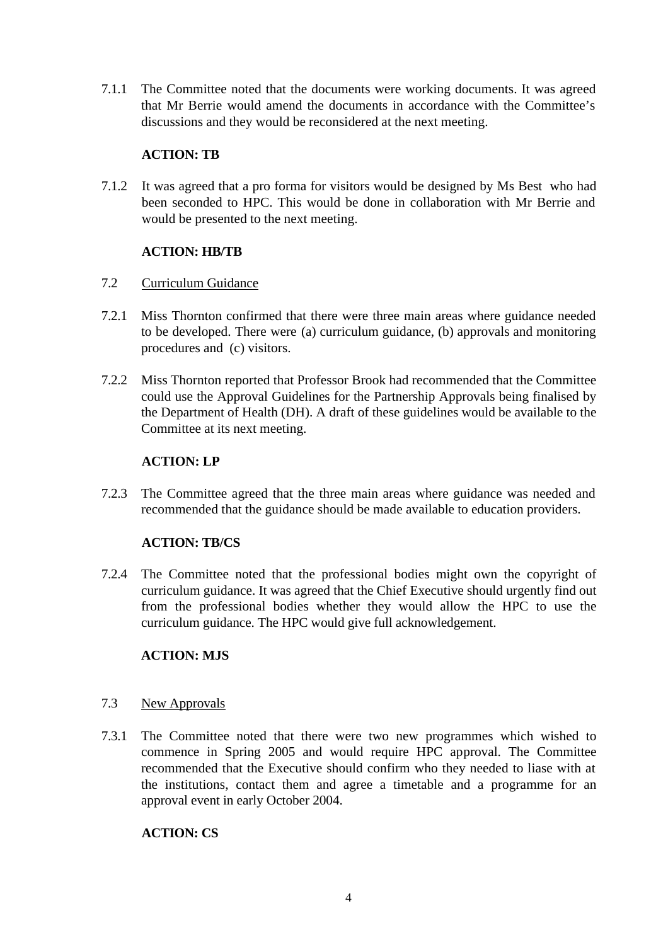7.1.1 The Committee noted that the documents were working documents. It was agreed that Mr Berrie would amend the documents in accordance with the Committee's discussions and they would be reconsidered at the next meeting.

### **ACTION: TB**

7.1.2 It was agreed that a pro forma for visitors would be designed by Ms Best who had been seconded to HPC. This would be done in collaboration with Mr Berrie and would be presented to the next meeting.

### **ACTION: HB/TB**

#### 7.2 Curriculum Guidance

- 7.2.1 Miss Thornton confirmed that there were three main areas where guidance needed to be developed. There were (a) curriculum guidance, (b) approvals and monitoring procedures and (c) visitors.
- 7.2.2 Miss Thornton reported that Professor Brook had recommended that the Committee could use the Approval Guidelines for the Partnership Approvals being finalised by the Department of Health (DH). A draft of these guidelines would be available to the Committee at its next meeting.

### **ACTION: LP**

7.2.3 The Committee agreed that the three main areas where guidance was needed and recommended that the guidance should be made available to education providers.

### **ACTION: TB/CS**

7.2.4 The Committee noted that the professional bodies might own the copyright of curriculum guidance. It was agreed that the Chief Executive should urgently find out from the professional bodies whether they would allow the HPC to use the curriculum guidance. The HPC would give full acknowledgement.

#### **ACTION: MJS**

- 7.3 New Approvals
- 7.3.1 The Committee noted that there were two new programmes which wished to commence in Spring 2005 and would require HPC approval. The Committee recommended that the Executive should confirm who they needed to liase with at the institutions, contact them and agree a timetable and a programme for an approval event in early October 2004.

#### **ACTION: CS**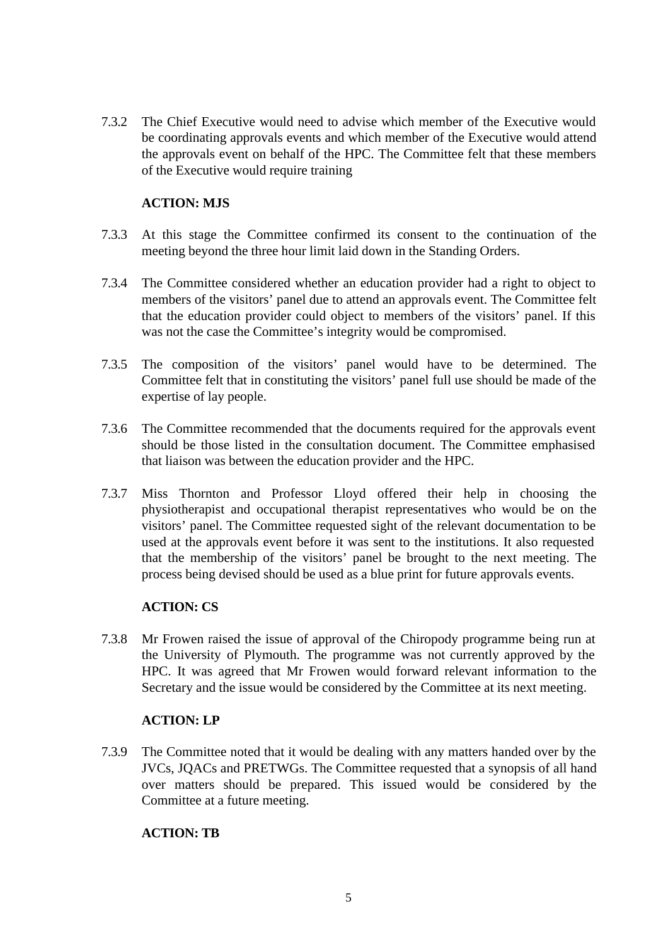7.3.2 The Chief Executive would need to advise which member of the Executive would be coordinating approvals events and which member of the Executive would attend the approvals event on behalf of the HPC. The Committee felt that these members of the Executive would require training

### **ACTION: MJS**

- 7.3.3 At this stage the Committee confirmed its consent to the continuation of the meeting beyond the three hour limit laid down in the Standing Orders.
- 7.3.4 The Committee considered whether an education provider had a right to object to members of the visitors' panel due to attend an approvals event. The Committee felt that the education provider could object to members of the visitors' panel. If this was not the case the Committee's integrity would be compromised.
- 7.3.5 The composition of the visitors' panel would have to be determined. The Committee felt that in constituting the visitors' panel full use should be made of the expertise of lay people.
- 7.3.6 The Committee recommended that the documents required for the approvals event should be those listed in the consultation document. The Committee emphasised that liaison was between the education provider and the HPC.
- 7.3.7 Miss Thornton and Professor Lloyd offered their help in choosing the physiotherapist and occupational therapist representatives who would be on the visitors' panel. The Committee requested sight of the relevant documentation to be used at the approvals event before it was sent to the institutions. It also requested that the membership of the visitors' panel be brought to the next meeting. The process being devised should be used as a blue print for future approvals events.

#### **ACTION: CS**

7.3.8 Mr Frowen raised the issue of approval of the Chiropody programme being run at the University of Plymouth. The programme was not currently approved by the HPC. It was agreed that Mr Frowen would forward relevant information to the Secretary and the issue would be considered by the Committee at its next meeting.

### **ACTION: LP**

7.3.9 The Committee noted that it would be dealing with any matters handed over by the JVCs, JQACs and PRETWGs. The Committee requested that a synopsis of all hand over matters should be prepared. This issued would be considered by the Committee at a future meeting.

#### **ACTION: TB**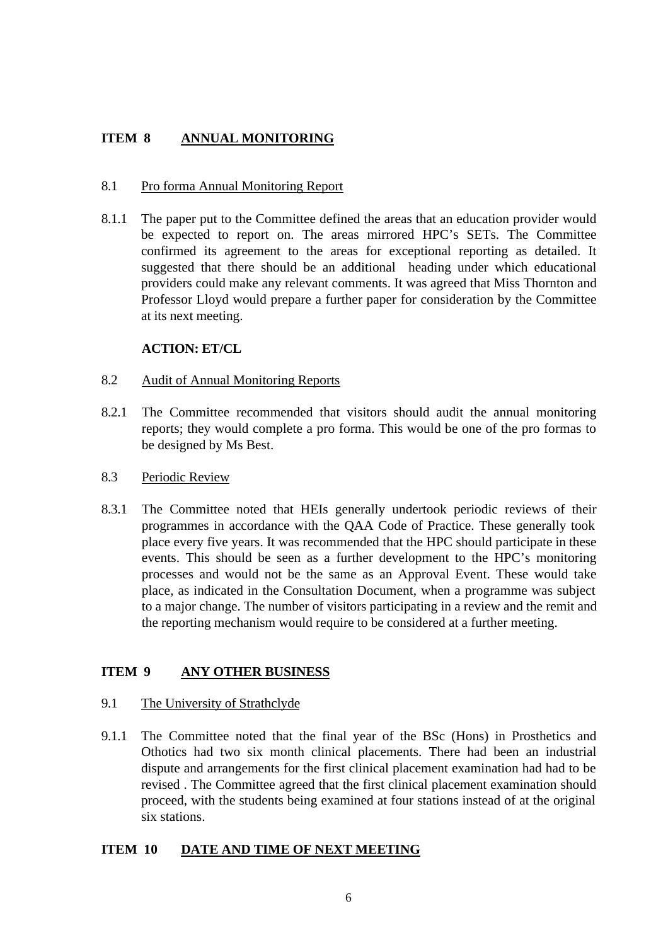## **ITEM 8 ANNUAL MONITORING**

#### 8.1 Pro forma Annual Monitoring Report

8.1.1 The paper put to the Committee defined the areas that an education provider would be expected to report on. The areas mirrored HPC's SETs. The Committee confirmed its agreement to the areas for exceptional reporting as detailed. It suggested that there should be an additional heading under which educational providers could make any relevant comments. It was agreed that Miss Thornton and Professor Lloyd would prepare a further paper for consideration by the Committee at its next meeting.

### **ACTION: ET/CL**

#### 8.2 Audit of Annual Monitoring Reports

8.2.1 The Committee recommended that visitors should audit the annual monitoring reports; they would complete a pro forma. This would be one of the pro formas to be designed by Ms Best.

#### 8.3 Periodic Review

8.3.1 The Committee noted that HEIs generally undertook periodic reviews of their programmes in accordance with the QAA Code of Practice. These generally took place every five years. It was recommended that the HPC should participate in these events. This should be seen as a further development to the HPC's monitoring processes and would not be the same as an Approval Event. These would take place, as indicated in the Consultation Document, when a programme was subject to a major change. The number of visitors participating in a review and the remit and the reporting mechanism would require to be considered at a further meeting.

# **ITEM 9 ANY OTHER BUSINESS**

#### 9.1 The University of Strathclyde

9.1.1 The Committee noted that the final year of the BSc (Hons) in Prosthetics and Othotics had two six month clinical placements. There had been an industrial dispute and arrangements for the first clinical placement examination had had to be revised . The Committee agreed that the first clinical placement examination should proceed, with the students being examined at four stations instead of at the original six stations.

### **ITEM 10 DATE AND TIME OF NEXT MEETING**